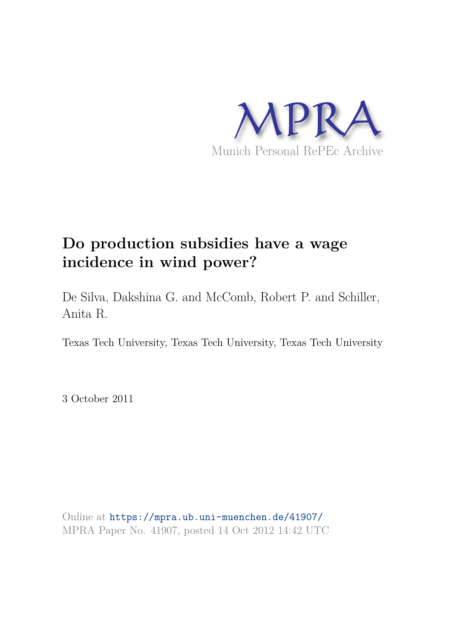

De Silva, Dakshina G. and McComb, Robert P. and Schiller, Anita R.

Texas Tech University, Texas Tech University, Texas Tech University

3 October 2011

Online at https://mpra.ub.uni-muenchen.de/41907/ MPRA Paper No. 41907, posted 14 Oct 2012 14:42 UTC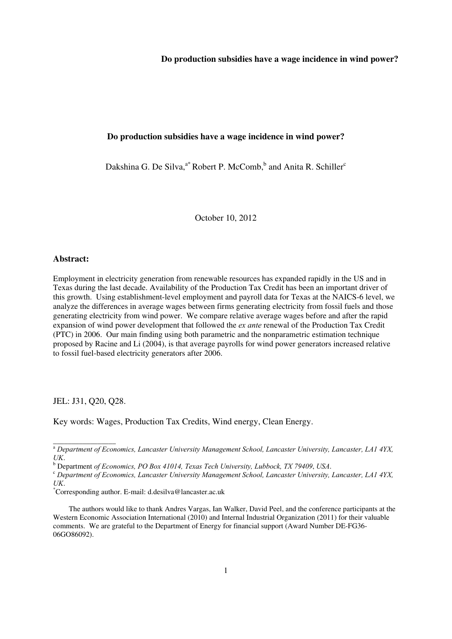#### **Do production subsidies have a wage incidence in wind power?**

Dakshina G. De Silva,<sup>a\*</sup> Robert P. McComb,<sup>b</sup> and Anita R. Schiller<sup>c</sup>

October 10, 2012

#### **Abstract:**

Employment in electricity generation from renewable resources has expanded rapidly in the US and in Texas during the last decade. Availability of the Production Tax Credit has been an important driver of this growth. Using establishment-level employment and payroll data for Texas at the NAICS-6 level, we analyze the differences in average wages between firms generating electricity from fossil fuels and those generating electricity from wind power. We compare relative average wages before and after the rapid expansion of wind power development that followed the *ex ante* renewal of the Production Tax Credit (PTC) in 2006. Our main finding using both parametric and the nonparametric estimation technique proposed by Racine and Li (2004), is that average payrolls for wind power generators increased relative to fossil fuel-based electricity generators after 2006.

JEL: J31, Q20, Q28.

\_\_\_\_\_\_\_\_\_\_\_\_\_\_\_\_\_

Key words: Wages, Production Tax Credits, Wind energy, Clean Energy.

<sup>a</sup> *Department of Economics, Lancaster University Management School, Lancaster University, Lancaster, LA1 4YX, UK*. b Department *of Economics, PO Box 41014, Texas Tech University, Lubbock, TX 79409*, *USA*.

<sup>c</sup> *Department of Economics, Lancaster University Management School, Lancaster University, Lancaster, LA1 4YX, UK*.

<sup>\*</sup>Corresponding author. E-mail: d.desilva@lancaster.ac.uk

The authors would like to thank Andres Vargas, Ian Walker, David Peel, and the conference participants at the Western Economic Association International (2010) and Internal Industrial Organization (2011) for their valuable comments. We are grateful to the Department of Energy for financial support (Award Number DE-FG36- 06GO86092).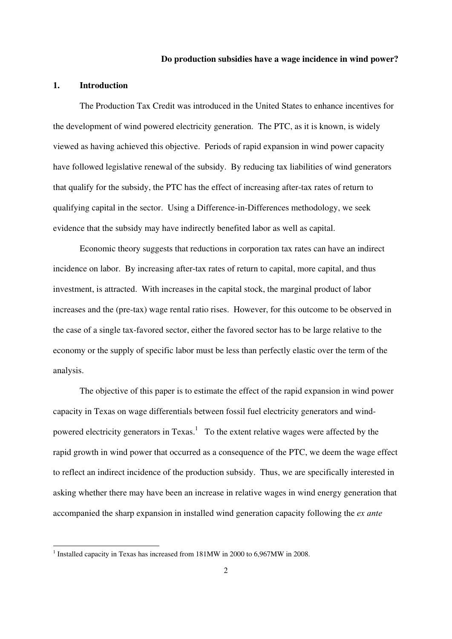#### **1. Introduction**

The Production Tax Credit was introduced in the United States to enhance incentives for the development of wind powered electricity generation. The PTC, as it is known, is widely viewed as having achieved this objective. Periods of rapid expansion in wind power capacity have followed legislative renewal of the subsidy. By reducing tax liabilities of wind generators that qualify for the subsidy, the PTC has the effect of increasing after-tax rates of return to qualifying capital in the sector. Using a Difference-in-Differences methodology, we seek evidence that the subsidy may have indirectly benefited labor as well as capital.

Economic theory suggests that reductions in corporation tax rates can have an indirect incidence on labor. By increasing after-tax rates of return to capital, more capital, and thus investment, is attracted. With increases in the capital stock, the marginal product of labor increases and the (pre-tax) wage rental ratio rises. However, for this outcome to be observed in the case of a single tax-favored sector, either the favored sector has to be large relative to the economy or the supply of specific labor must be less than perfectly elastic over the term of the analysis.

 The objective of this paper is to estimate the effect of the rapid expansion in wind power capacity in Texas on wage differentials between fossil fuel electricity generators and windpowered electricity generators in Texas.<sup>1</sup> To the extent relative wages were affected by the rapid growth in wind power that occurred as a consequence of the PTC, we deem the wage effect to reflect an indirect incidence of the production subsidy. Thus, we are specifically interested in asking whether there may have been an increase in relative wages in wind energy generation that accompanied the sharp expansion in installed wind generation capacity following the *ex ante*

<u> Andrew Maria (1989)</u>

<sup>&</sup>lt;sup>1</sup> Installed capacity in Texas has increased from 181MW in 2000 to 6,967MW in 2008.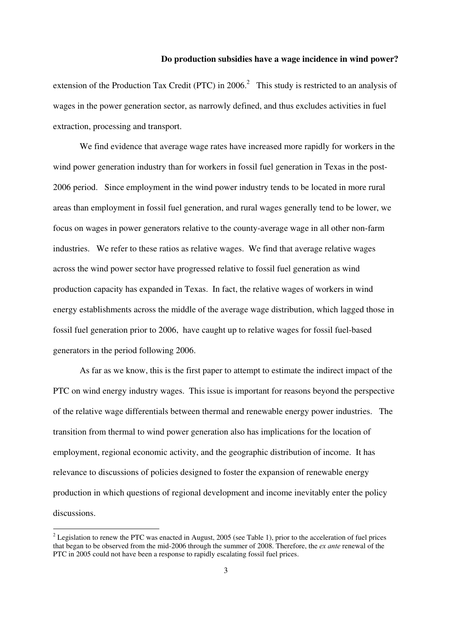extension of the Production Tax Credit (PTC) in 2006.<sup>2</sup> This study is restricted to an analysis of wages in the power generation sector, as narrowly defined, and thus excludes activities in fuel extraction, processing and transport.

We find evidence that average wage rates have increased more rapidly for workers in the wind power generation industry than for workers in fossil fuel generation in Texas in the post-2006 period. Since employment in the wind power industry tends to be located in more rural areas than employment in fossil fuel generation, and rural wages generally tend to be lower, we focus on wages in power generators relative to the county-average wage in all other non-farm industries. We refer to these ratios as relative wages. We find that average relative wages across the wind power sector have progressed relative to fossil fuel generation as wind production capacity has expanded in Texas. In fact, the relative wages of workers in wind energy establishments across the middle of the average wage distribution, which lagged those in fossil fuel generation prior to 2006, have caught up to relative wages for fossil fuel-based generators in the period following 2006.

As far as we know, this is the first paper to attempt to estimate the indirect impact of the PTC on wind energy industry wages. This issue is important for reasons beyond the perspective of the relative wage differentials between thermal and renewable energy power industries. The transition from thermal to wind power generation also has implications for the location of employment, regional economic activity, and the geographic distribution of income. It has relevance to discussions of policies designed to foster the expansion of renewable energy production in which questions of regional development and income inevitably enter the policy discussions.

<sup>&</sup>lt;sup>2</sup> Legislation to renew the PTC was enacted in August, 2005 (see Table 1), prior to the acceleration of fuel prices that began to be observed from the mid-2006 through the summer of 2008. Therefore, the *ex ante* renewal of the PTC in 2005 could not have been a response to rapidly escalating fossil fuel prices.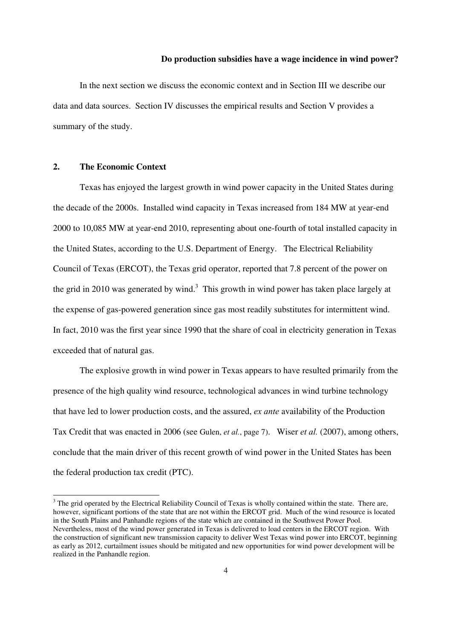In the next section we discuss the economic context and in Section III we describe our data and data sources. Section IV discusses the empirical results and Section V provides a summary of the study.

#### **2. The Economic Context**

 Texas has enjoyed the largest growth in wind power capacity in the United States during the decade of the 2000s. Installed wind capacity in Texas increased from 184 MW at year-end 2000 to 10,085 MW at year-end 2010, representing about one-fourth of total installed capacity in the United States, according to the U.S. Department of Energy. The Electrical Reliability Council of Texas (ERCOT), the Texas grid operator, reported that 7.8 percent of the power on the grid in 2010 was generated by wind.<sup>3</sup> This growth in wind power has taken place largely at the expense of gas-powered generation since gas most readily substitutes for intermittent wind. In fact, 2010 was the first year since 1990 that the share of coal in electricity generation in Texas exceeded that of natural gas.

The explosive growth in wind power in Texas appears to have resulted primarily from the presence of the high quality wind resource, technological advances in wind turbine technology that have led to lower production costs, and the assured, *ex ante* availability of the Production Tax Credit that was enacted in 2006 (see Gulen, *et al.*, page 7). Wiser *et al.* (2007), among others, conclude that the main driver of this recent growth of wind power in the United States has been the federal production tax credit (PTC).

<sup>&</sup>lt;sup>3</sup> The grid operated by the Electrical Reliability Council of Texas is wholly contained within the state. There are, however, significant portions of the state that are not within the ERCOT grid. Much of the wind resource is located in the South Plains and Panhandle regions of the state which are contained in the Southwest Power Pool. Nevertheless, most of the wind power generated in Texas is delivered to load centers in the ERCOT region. With the construction of significant new transmission capacity to deliver West Texas wind power into ERCOT, beginning as early as 2012, curtailment issues should be mitigated and new opportunities for wind power development will be realized in the Panhandle region.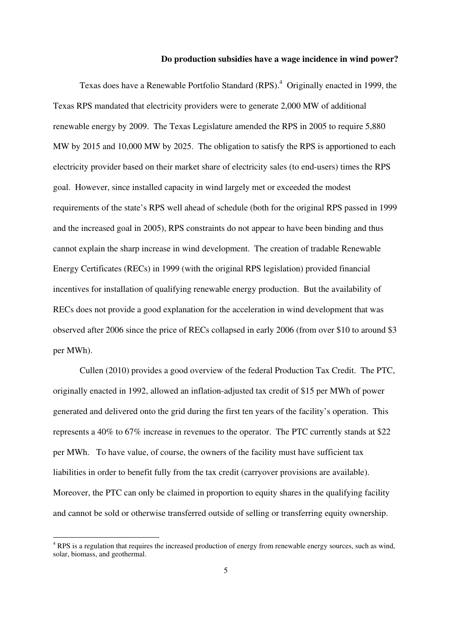Texas does have a Renewable Portfolio Standard (RPS).<sup>4</sup> Originally enacted in 1999, the Texas RPS mandated that electricity providers were to generate 2,000 MW of additional renewable energy by 2009. The Texas Legislature amended the RPS in 2005 to require 5,880 MW by 2015 and 10,000 MW by 2025. The obligation to satisfy the RPS is apportioned to each electricity provider based on their market share of electricity sales (to end-users) times the RPS goal. However, since installed capacity in wind largely met or exceeded the modest requirements of the state's RPS well ahead of schedule (both for the original RPS passed in 1999 and the increased goal in 2005), RPS constraints do not appear to have been binding and thus cannot explain the sharp increase in wind development. The creation of tradable Renewable Energy Certificates (RECs) in 1999 (with the original RPS legislation) provided financial incentives for installation of qualifying renewable energy production. But the availability of RECs does not provide a good explanation for the acceleration in wind development that was observed after 2006 since the price of RECs collapsed in early 2006 (from over \$10 to around \$3 per MWh).

Cullen (2010) provides a good overview of the federal Production Tax Credit. The PTC, originally enacted in 1992, allowed an inflation-adjusted tax credit of \$15 per MWh of power generated and delivered onto the grid during the first ten years of the facility's operation. This represents a 40% to 67% increase in revenues to the operator. The PTC currently stands at \$22 per MWh. To have value, of course, the owners of the facility must have sufficient tax liabilities in order to benefit fully from the tax credit (carryover provisions are available). Moreover, the PTC can only be claimed in proportion to equity shares in the qualifying facility and cannot be sold or otherwise transferred outside of selling or transferring equity ownership.

<sup>&</sup>lt;sup>4</sup> RPS is a regulation that requires the increased production of energy from renewable energy sources, such as wind, solar, biomass, and geothermal.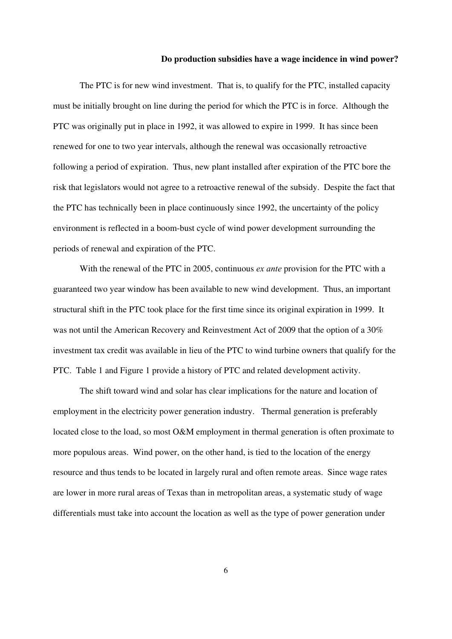The PTC is for new wind investment. That is, to qualify for the PTC, installed capacity must be initially brought on line during the period for which the PTC is in force. Although the PTC was originally put in place in 1992, it was allowed to expire in 1999. It has since been renewed for one to two year intervals, although the renewal was occasionally retroactive following a period of expiration. Thus, new plant installed after expiration of the PTC bore the risk that legislators would not agree to a retroactive renewal of the subsidy. Despite the fact that the PTC has technically been in place continuously since 1992, the uncertainty of the policy environment is reflected in a boom-bust cycle of wind power development surrounding the periods of renewal and expiration of the PTC.

With the renewal of the PTC in 2005, continuous *ex ante* provision for the PTC with a guaranteed two year window has been available to new wind development. Thus, an important structural shift in the PTC took place for the first time since its original expiration in 1999. It was not until the American Recovery and Reinvestment Act of 2009 that the option of a 30% investment tax credit was available in lieu of the PTC to wind turbine owners that qualify for the PTC. Table 1 and Figure 1 provide a history of PTC and related development activity.

The shift toward wind and solar has clear implications for the nature and location of employment in the electricity power generation industry. Thermal generation is preferably located close to the load, so most O&M employment in thermal generation is often proximate to more populous areas. Wind power, on the other hand, is tied to the location of the energy resource and thus tends to be located in largely rural and often remote areas. Since wage rates are lower in more rural areas of Texas than in metropolitan areas, a systematic study of wage differentials must take into account the location as well as the type of power generation under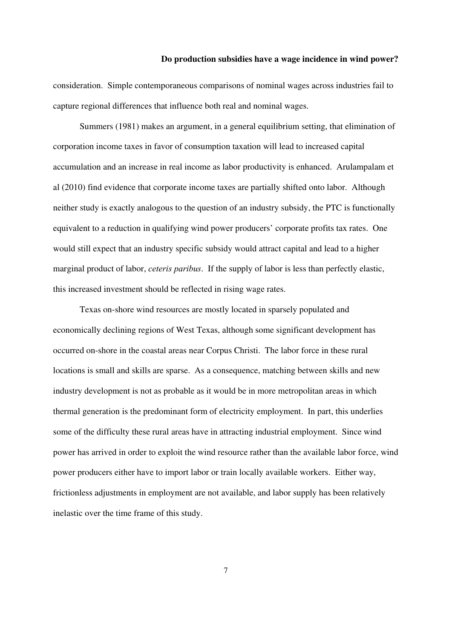consideration. Simple contemporaneous comparisons of nominal wages across industries fail to capture regional differences that influence both real and nominal wages.

Summers (1981) makes an argument, in a general equilibrium setting, that elimination of corporation income taxes in favor of consumption taxation will lead to increased capital accumulation and an increase in real income as labor productivity is enhanced. Arulampalam et al (2010) find evidence that corporate income taxes are partially shifted onto labor. Although neither study is exactly analogous to the question of an industry subsidy, the PTC is functionally equivalent to a reduction in qualifying wind power producers' corporate profits tax rates. One would still expect that an industry specific subsidy would attract capital and lead to a higher marginal product of labor, *ceteris paribus*. If the supply of labor is less than perfectly elastic, this increased investment should be reflected in rising wage rates.

Texas on-shore wind resources are mostly located in sparsely populated and economically declining regions of West Texas, although some significant development has occurred on-shore in the coastal areas near Corpus Christi. The labor force in these rural locations is small and skills are sparse. As a consequence, matching between skills and new industry development is not as probable as it would be in more metropolitan areas in which thermal generation is the predominant form of electricity employment. In part, this underlies some of the difficulty these rural areas have in attracting industrial employment. Since wind power has arrived in order to exploit the wind resource rather than the available labor force, wind power producers either have to import labor or train locally available workers. Either way, frictionless adjustments in employment are not available, and labor supply has been relatively inelastic over the time frame of this study.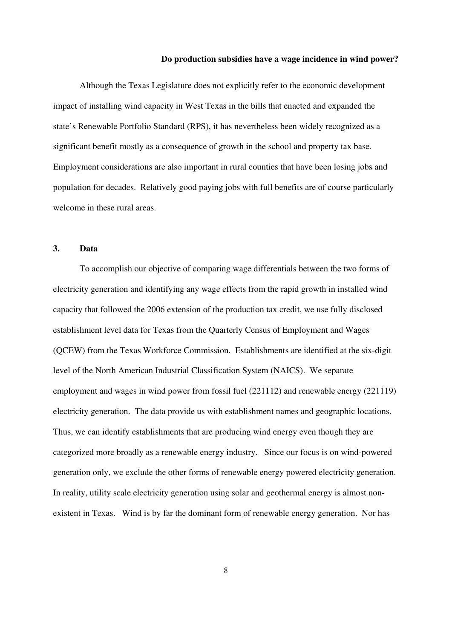Although the Texas Legislature does not explicitly refer to the economic development impact of installing wind capacity in West Texas in the bills that enacted and expanded the state's Renewable Portfolio Standard (RPS), it has nevertheless been widely recognized as a significant benefit mostly as a consequence of growth in the school and property tax base. Employment considerations are also important in rural counties that have been losing jobs and population for decades. Relatively good paying jobs with full benefits are of course particularly welcome in these rural areas.

#### **3. Data**

To accomplish our objective of comparing wage differentials between the two forms of electricity generation and identifying any wage effects from the rapid growth in installed wind capacity that followed the 2006 extension of the production tax credit, we use fully disclosed establishment level data for Texas from the Quarterly Census of Employment and Wages (QCEW) from the Texas Workforce Commission. Establishments are identified at the six-digit level of the North American Industrial Classification System (NAICS). We separate employment and wages in wind power from fossil fuel (221112) and renewable energy (221119) electricity generation. The data provide us with establishment names and geographic locations. Thus, we can identify establishments that are producing wind energy even though they are categorized more broadly as a renewable energy industry. Since our focus is on wind-powered generation only, we exclude the other forms of renewable energy powered electricity generation. In reality, utility scale electricity generation using solar and geothermal energy is almost nonexistent in Texas. Wind is by far the dominant form of renewable energy generation. Nor has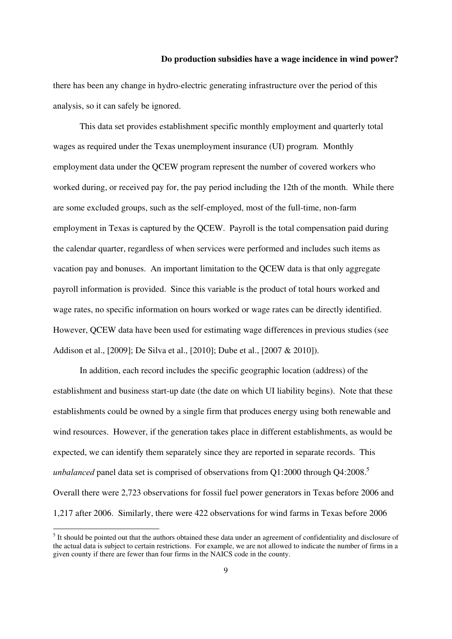there has been any change in hydro-electric generating infrastructure over the period of this analysis, so it can safely be ignored.

This data set provides establishment specific monthly employment and quarterly total wages as required under the Texas unemployment insurance (UI) program. Monthly employment data under the QCEW program represent the number of covered workers who worked during, or received pay for, the pay period including the 12th of the month. While there are some excluded groups, such as the self-employed, most of the full-time, non-farm employment in Texas is captured by the QCEW. Payroll is the total compensation paid during the calendar quarter, regardless of when services were performed and includes such items as vacation pay and bonuses. An important limitation to the QCEW data is that only aggregate payroll information is provided. Since this variable is the product of total hours worked and wage rates, no specific information on hours worked or wage rates can be directly identified. However, QCEW data have been used for estimating wage differences in previous studies (see Addison et al., [2009]; De Silva et al., [2010]; Dube et al., [2007 & 2010]).

In addition, each record includes the specific geographic location (address) of the establishment and business start-up date (the date on which UI liability begins). Note that these establishments could be owned by a single firm that produces energy using both renewable and wind resources. However, if the generation takes place in different establishments, as would be expected, we can identify them separately since they are reported in separate records. This *unbalanced* panel data set is comprised of observations from Q1:2000 through Q4:2008.<sup>5</sup> Overall there were 2,723 observations for fossil fuel power generators in Texas before 2006 and 1,217 after 2006. Similarly, there were 422 observations for wind farms in Texas before 2006

<sup>&</sup>lt;sup>5</sup> It should be pointed out that the authors obtained these data under an agreement of confidentiality and disclosure of the actual data is subject to certain restrictions. For example, we are not allowed to indicate the number of firms in a given county if there are fewer than four firms in the NAICS code in the county.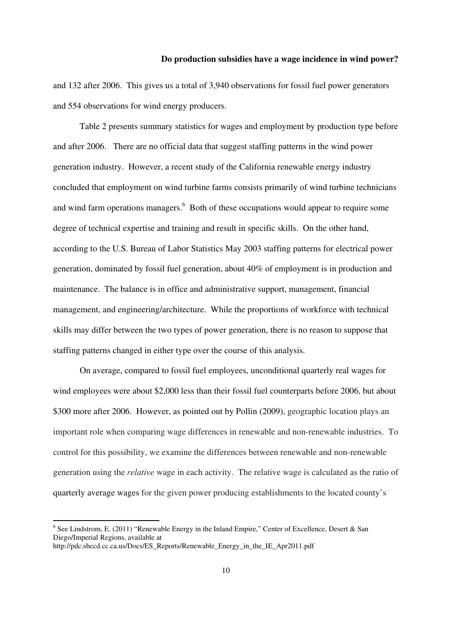and 132 after 2006. This gives us a total of 3,940 observations for fossil fuel power generators and 554 observations for wind energy producers.

Table 2 presents summary statistics for wages and employment by production type before and after 2006. There are no official data that suggest staffing patterns in the wind power generation industry. However, a recent study of the California renewable energy industry concluded that employment on wind turbine farms consists primarily of wind turbine technicians and wind farm operations managers.<sup>6</sup> Both of these occupations would appear to require some degree of technical expertise and training and result in specific skills. On the other hand, according to the U.S. Bureau of Labor Statistics May 2003 staffing patterns for electrical power generation, dominated by fossil fuel generation, about 40% of employment is in production and maintenance. The balance is in office and administrative support, management, financial management, and engineering/architecture. While the proportions of workforce with technical skills may differ between the two types of power generation, there is no reason to suppose that staffing patterns changed in either type over the course of this analysis.

On average, compared to fossil fuel employees, unconditional quarterly real wages for wind employees were about \$2,000 less than their fossil fuel counterparts before 2006, but about \$300 more after 2006. However, as pointed out by Pollin (2009), geographic location plays an important role when comparing wage differences in renewable and non-renewable industries. To control for this possibility, we examine the differences between renewable and non-renewable generation using the *relative* wage in each activity. The relative wage is calculated as the ratio of quarterly average wages for the given power producing establishments to the located county's

<sup>&</sup>lt;sup>6</sup> See Lindstrom, E. (2011) "Renewable Energy in the Inland Empire," Center of Excellence, Desert & San Diego/Imperial Regions, available at http://pdc.sbccd.cc.ca.us/Docs/ES\_Reports/Renewable\_Energy\_in\_the\_IE\_Apr2011.pdf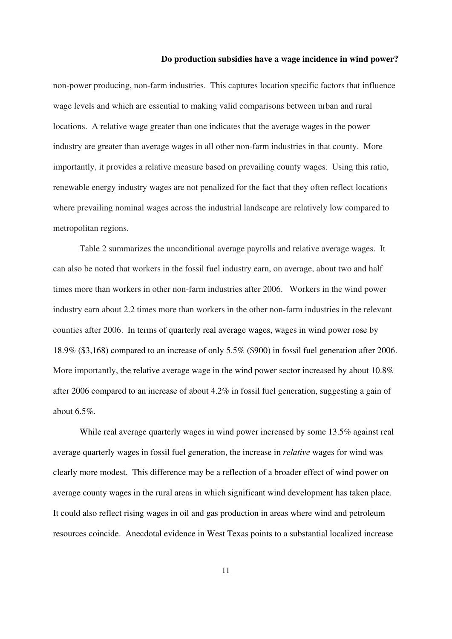non-power producing, non-farm industries. This captures location specific factors that influence wage levels and which are essential to making valid comparisons between urban and rural locations. A relative wage greater than one indicates that the average wages in the power industry are greater than average wages in all other non-farm industries in that county. More importantly, it provides a relative measure based on prevailing county wages. Using this ratio, renewable energy industry wages are not penalized for the fact that they often reflect locations where prevailing nominal wages across the industrial landscape are relatively low compared to metropolitan regions.

Table 2 summarizes the unconditional average payrolls and relative average wages. It can also be noted that workers in the fossil fuel industry earn, on average, about two and half times more than workers in other non-farm industries after 2006. Workers in the wind power industry earn about 2.2 times more than workers in the other non-farm industries in the relevant counties after 2006. In terms of quarterly real average wages, wages in wind power rose by 18.9% (\$3,168) compared to an increase of only 5.5% (\$900) in fossil fuel generation after 2006. More importantly, the relative average wage in the wind power sector increased by about 10.8% after 2006 compared to an increase of about 4.2% in fossil fuel generation, suggesting a gain of about 6.5%.

While real average quarterly wages in wind power increased by some 13.5% against real average quarterly wages in fossil fuel generation, the increase in *relative* wages for wind was clearly more modest. This difference may be a reflection of a broader effect of wind power on average county wages in the rural areas in which significant wind development has taken place. It could also reflect rising wages in oil and gas production in areas where wind and petroleum resources coincide. Anecdotal evidence in West Texas points to a substantial localized increase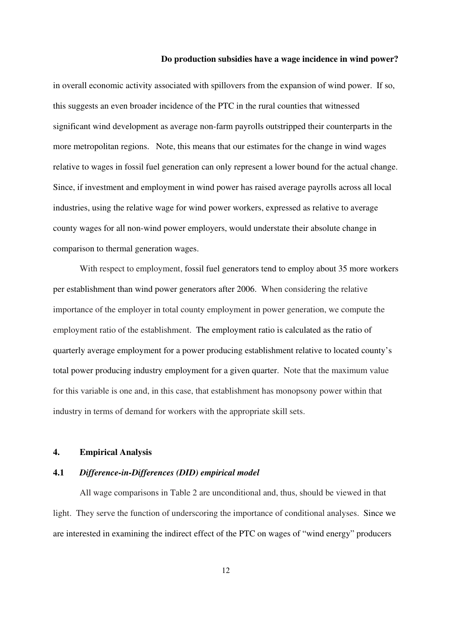in overall economic activity associated with spillovers from the expansion of wind power. If so, this suggests an even broader incidence of the PTC in the rural counties that witnessed significant wind development as average non-farm payrolls outstripped their counterparts in the more metropolitan regions. Note, this means that our estimates for the change in wind wages relative to wages in fossil fuel generation can only represent a lower bound for the actual change. Since, if investment and employment in wind power has raised average payrolls across all local industries, using the relative wage for wind power workers, expressed as relative to average county wages for all non-wind power employers, would understate their absolute change in comparison to thermal generation wages.

With respect to employment, fossil fuel generators tend to employ about 35 more workers per establishment than wind power generators after 2006. When considering the relative importance of the employer in total county employment in power generation, we compute the employment ratio of the establishment. The employment ratio is calculated as the ratio of quarterly average employment for a power producing establishment relative to located county's total power producing industry employment for a given quarter. Note that the maximum value for this variable is one and, in this case, that establishment has monopsony power within that industry in terms of demand for workers with the appropriate skill sets.

#### **4. Empirical Analysis**

#### **4.1** *Difference-in-Differences (DID) empirical model*

All wage comparisons in Table 2 are unconditional and, thus, should be viewed in that light. They serve the function of underscoring the importance of conditional analyses. Since we are interested in examining the indirect effect of the PTC on wages of "wind energy" producers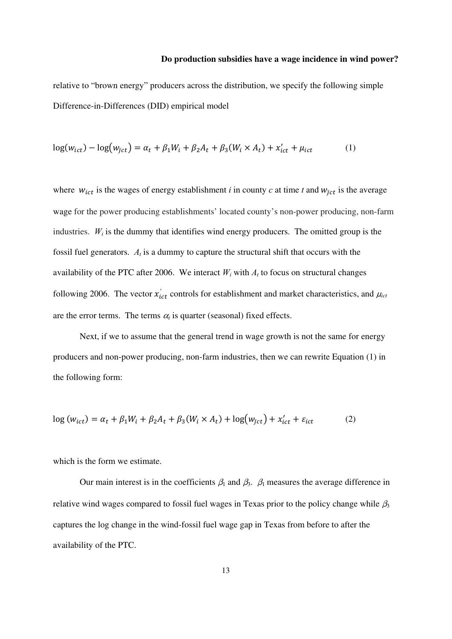relative to "brown energy" producers across the distribution, we specify the following simple Difference-in-Differences (DID) empirical model

$$
log(w_{ict}) - log(w_{\bar{j}ct}) = \alpha_t + \beta_1 W_i + \beta_2 A_t + \beta_3 (W_i \times A_t) + x'_{ict} + \mu_{ict}
$$
 (1)

where  $w_{ict}$  is the wages of energy establishment *i* in county *c* at time *t* and  $w_{\bar{j}ct}$  is the average wage for the power producing establishments' located county's non-power producing, non-farm industries.  $W_i$  is the dummy that identifies wind energy producers. The omitted group is the fossil fuel generators.  $A_t$  is a dummy to capture the structural shift that occurs with the availability of the PTC after 2006. We interact  $W_i$  with  $A_t$  to focus on structural changes following 2006. The vector  $x'_{ict}$  controls for establishment and market characteristics, and  $\mu_{ict}$ are the error terms. The terms  $\alpha_t$  is quarter (seasonal) fixed effects.

Next, if we to assume that the general trend in wage growth is not the same for energy producers and non-power producing, non-farm industries, then we can rewrite Equation (1) in the following form:

$$
\log(w_{ict}) = \alpha_t + \beta_1 W_i + \beta_2 A_t + \beta_3 (W_i \times A_t) + \log(w_{\bar{j}ct}) + x'_{ict} + \varepsilon_{ict}
$$
 (2)

which is the form we estimate.

Our main interest is in the coefficients  $\beta_1$  and  $\beta_3$ .  $\beta_1$  measures the average difference in relative wind wages compared to fossil fuel wages in Texas prior to the policy change while  $\beta_3$ captures the log change in the wind-fossil fuel wage gap in Texas from before to after the availability of the PTC.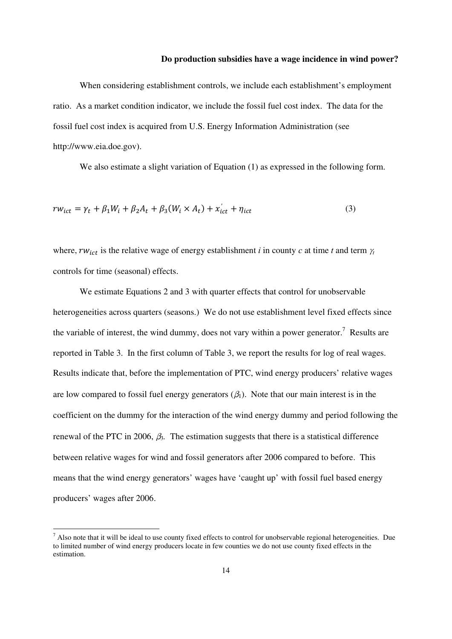When considering establishment controls, we include each establishment's employment ratio. As a market condition indicator, we include the fossil fuel cost index. The data for the fossil fuel cost index is acquired from U.S. Energy Information Administration (see http://www.eia.doe.gov).

We also estimate a slight variation of Equation (1) as expressed in the following form.

$$
rw_{ict} = \gamma_t + \beta_1 W_i + \beta_2 A_t + \beta_3 (W_i \times A_t) + x'_{ict} + \eta_{ict}
$$
\n
$$
\tag{3}
$$

where,  $rw_{ict}$  is the relative wage of energy establishment *i* in county *c* at time *t* and term  $\gamma_t$ controls for time (seasonal) effects.

We estimate Equations 2 and 3 with quarter effects that control for unobservable heterogeneities across quarters (seasons.) We do not use establishment level fixed effects since the variable of interest, the wind dummy, does not vary within a power generator.<sup>7</sup> Results are reported in Table 3. In the first column of Table 3, we report the results for log of real wages. Results indicate that, before the implementation of PTC, wind energy producers' relative wages are low compared to fossil fuel energy generators  $(\beta_1)$ . Note that our main interest is in the coefficient on the dummy for the interaction of the wind energy dummy and period following the renewal of the PTC in 2006,  $\beta_3$ . The estimation suggests that there is a statistical difference between relative wages for wind and fossil generators after 2006 compared to before. This means that the wind energy generators' wages have 'caught up' with fossil fuel based energy producers' wages after 2006.

 $<sup>7</sup>$  Also note that it will be ideal to use county fixed effects to control for unobservable regional heterogeneities. Due</sup> to limited number of wind energy producers locate in few counties we do not use county fixed effects in the estimation.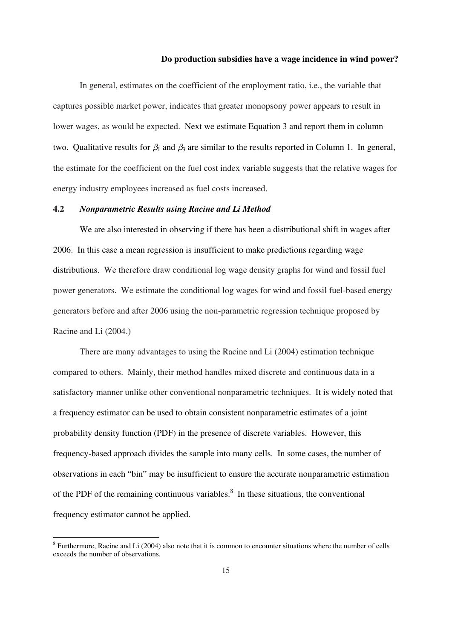In general, estimates on the coefficient of the employment ratio, i.e., the variable that captures possible market power, indicates that greater monopsony power appears to result in lower wages, as would be expected. Next we estimate Equation 3 and report them in column two. Qualitative results for  $\beta_1$  and  $\beta_3$  are similar to the results reported in Column 1. In general, the estimate for the coefficient on the fuel cost index variable suggests that the relative wages for energy industry employees increased as fuel costs increased.

#### **4.2** *Nonparametric Results using Racine and Li Method*

We are also interested in observing if there has been a distributional shift in wages after 2006. In this case a mean regression is insufficient to make predictions regarding wage distributions. We therefore draw conditional log wage density graphs for wind and fossil fuel power generators. We estimate the conditional log wages for wind and fossil fuel-based energy generators before and after 2006 using the non-parametric regression technique proposed by Racine and Li (2004.)

There are many advantages to using the Racine and Li (2004) estimation technique compared to others. Mainly, their method handles mixed discrete and continuous data in a satisfactory manner unlike other conventional nonparametric techniques. It is widely noted that a frequency estimator can be used to obtain consistent nonparametric estimates of a joint probability density function (PDF) in the presence of discrete variables. However, this frequency-based approach divides the sample into many cells. In some cases, the number of observations in each "bin" may be insufficient to ensure the accurate nonparametric estimation of the PDF of the remaining continuous variables. $\delta$  In these situations, the conventional frequency estimator cannot be applied.

 $8$  Furthermore, Racine and Li (2004) also note that it is common to encounter situations where the number of cells exceeds the number of observations.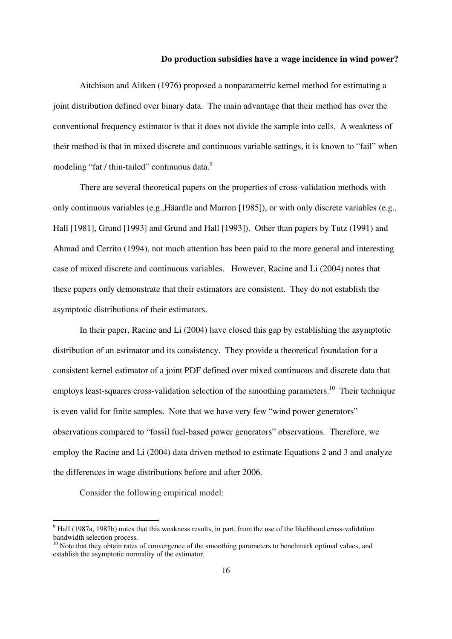Aitchison and Aitken (1976) proposed a nonparametric kernel method for estimating a joint distribution defined over binary data. The main advantage that their method has over the conventional frequency estimator is that it does not divide the sample into cells. A weakness of their method is that in mixed discrete and continuous variable settings, it is known to "fail" when modeling "fat / thin-tailed" continuous data.<sup>9</sup>

There are several theoretical papers on the properties of cross-validation methods with only continuous variables (e.g.,Häardle and Marron [1985]), or with only discrete variables (e.g., Hall [1981], Grund [1993] and Grund and Hall [1993]). Other than papers by Tutz (1991) and Ahmad and Cerrito (1994), not much attention has been paid to the more general and interesting case of mixed discrete and continuous variables. However, Racine and Li (2004) notes that these papers only demonstrate that their estimators are consistent. They do not establish the asymptotic distributions of their estimators.

In their paper, Racine and Li (2004) have closed this gap by establishing the asymptotic distribution of an estimator and its consistency. They provide a theoretical foundation for a consistent kernel estimator of a joint PDF defined over mixed continuous and discrete data that employs least-squares cross-validation selection of the smoothing parameters.<sup>10</sup> Their technique is even valid for finite samples. Note that we have very few "wind power generators" observations compared to "fossil fuel-based power generators" observations. Therefore, we employ the Racine and Li (2004) data driven method to estimate Equations 2 and 3 and analyze the differences in wage distributions before and after 2006.

Consider the following empirical model:

 $9$  Hall (1987a, 1987b) notes that this weakness results, in part, from the use of the likelihood cross-validation bandwidth selection process.

 $10$  Note that they obtain rates of convergence of the smoothing parameters to benchmark optimal values, and establish the asymptotic normality of the estimator.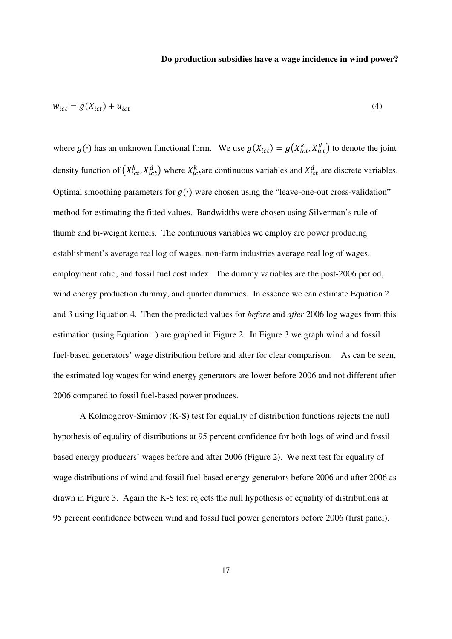$$
w_{ict} = g(X_{ict}) + u_{ict} \tag{4}
$$

where  $g(\cdot)$  has an unknown functional form. We use  $g(X_{ict}) = g(X_{ict}^k, X_{ict}^d)$  to denote the joint density function of  $(X_{ict}^k, X_{ict}^d)$  where  $X_{ict}^k$  are continuous variables and  $X_{ict}^d$  are discrete variables. Optimal smoothing parameters for  $g(·)$  were chosen using the "leave-one-out cross-validation" method for estimating the fitted values. Bandwidths were chosen using Silverman's rule of thumb and bi-weight kernels. The continuous variables we employ are power producing establishment's average real log of wages, non-farm industries average real log of wages, employment ratio, and fossil fuel cost index. The dummy variables are the post-2006 period, wind energy production dummy, and quarter dummies. In essence we can estimate Equation 2 and 3 using Equation 4. Then the predicted values for *before* and *after* 2006 log wages from this estimation (using Equation 1) are graphed in Figure 2. In Figure 3 we graph wind and fossil fuel-based generators' wage distribution before and after for clear comparison. As can be seen, the estimated log wages for wind energy generators are lower before 2006 and not different after 2006 compared to fossil fuel-based power produces.

A Kolmogorov-Smirnov (K-S) test for equality of distribution functions rejects the null hypothesis of equality of distributions at 95 percent confidence for both logs of wind and fossil based energy producers' wages before and after 2006 (Figure 2). We next test for equality of wage distributions of wind and fossil fuel-based energy generators before 2006 and after 2006 as drawn in Figure 3. Again the K-S test rejects the null hypothesis of equality of distributions at 95 percent confidence between wind and fossil fuel power generators before 2006 (first panel).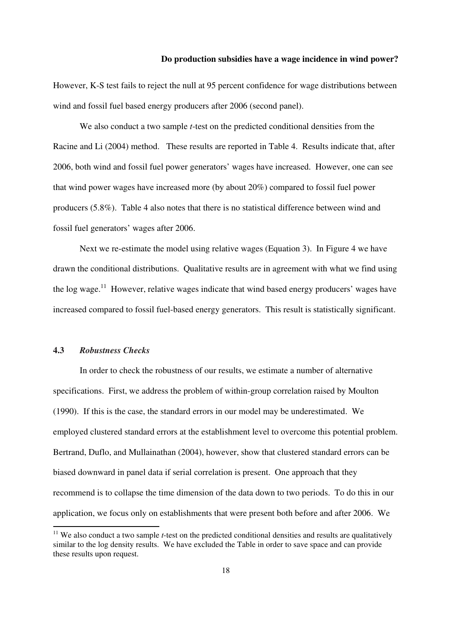However, K-S test fails to reject the null at 95 percent confidence for wage distributions between wind and fossil fuel based energy producers after 2006 (second panel).

We also conduct a two sample *t*-test on the predicted conditional densities from the Racine and Li (2004) method. These results are reported in Table 4. Results indicate that, after 2006, both wind and fossil fuel power generators' wages have increased. However, one can see that wind power wages have increased more (by about 20%) compared to fossil fuel power producers (5.8%). Table 4 also notes that there is no statistical difference between wind and fossil fuel generators' wages after 2006.

Next we re-estimate the model using relative wages (Equation 3). In Figure 4 we have drawn the conditional distributions. Qualitative results are in agreement with what we find using the log wage.<sup>11</sup> However, relative wages indicate that wind based energy producers' wages have increased compared to fossil fuel-based energy generators. This result is statistically significant.

#### **4.3** *Robustness Checks*

 In order to check the robustness of our results, we estimate a number of alternative specifications. First, we address the problem of within-group correlation raised by Moulton (1990). If this is the case, the standard errors in our model may be underestimated. We employed clustered standard errors at the establishment level to overcome this potential problem. Bertrand, Duflo, and Mullainathan (2004), however, show that clustered standard errors can be biased downward in panel data if serial correlation is present. One approach that they recommend is to collapse the time dimension of the data down to two periods. To do this in our application, we focus only on establishments that were present both before and after 2006. We

<sup>&</sup>lt;sup>11</sup> We also conduct a two sample *t*-test on the predicted conditional densities and results are qualitatively similar to the log density results. We have excluded the Table in order to save space and can provide these results upon request.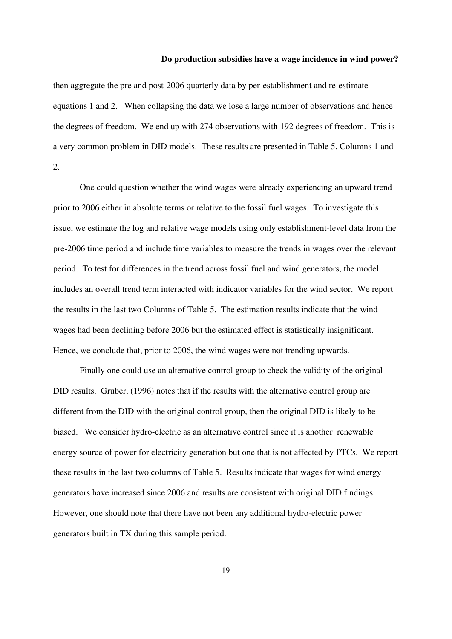then aggregate the pre and post-2006 quarterly data by per-establishment and re-estimate equations 1 and 2. When collapsing the data we lose a large number of observations and hence the degrees of freedom. We end up with 274 observations with 192 degrees of freedom. This is a very common problem in DID models. These results are presented in Table 5, Columns 1 and  $2^{\circ}$ 

 One could question whether the wind wages were already experiencing an upward trend prior to 2006 either in absolute terms or relative to the fossil fuel wages. To investigate this issue, we estimate the log and relative wage models using only establishment-level data from the pre-2006 time period and include time variables to measure the trends in wages over the relevant period. To test for differences in the trend across fossil fuel and wind generators, the model includes an overall trend term interacted with indicator variables for the wind sector. We report the results in the last two Columns of Table 5. The estimation results indicate that the wind wages had been declining before 2006 but the estimated effect is statistically insignificant. Hence, we conclude that, prior to 2006, the wind wages were not trending upwards.

Finally one could use an alternative control group to check the validity of the original DID results. Gruber, (1996) notes that if the results with the alternative control group are different from the DID with the original control group, then the original DID is likely to be biased. We consider hydro-electric as an alternative control since it is another renewable energy source of power for electricity generation but one that is not affected by PTCs. We report these results in the last two columns of Table 5. Results indicate that wages for wind energy generators have increased since 2006 and results are consistent with original DID findings. However, one should note that there have not been any additional hydro-electric power generators built in TX during this sample period.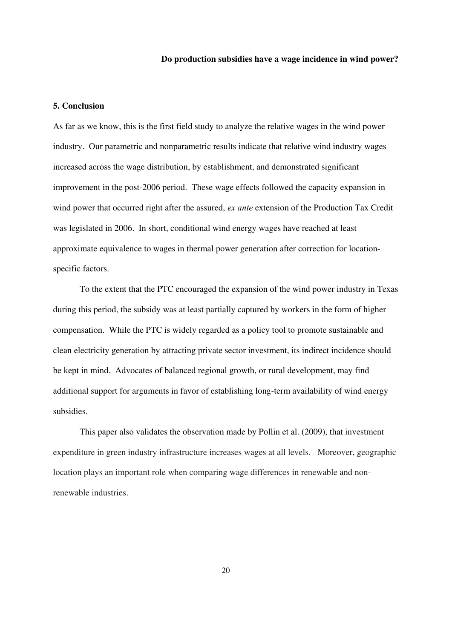#### **5. Conclusion**

As far as we know, this is the first field study to analyze the relative wages in the wind power industry. Our parametric and nonparametric results indicate that relative wind industry wages increased across the wage distribution, by establishment, and demonstrated significant improvement in the post-2006 period. These wage effects followed the capacity expansion in wind power that occurred right after the assured, *ex ante* extension of the Production Tax Credit was legislated in 2006. In short, conditional wind energy wages have reached at least approximate equivalence to wages in thermal power generation after correction for locationspecific factors.

To the extent that the PTC encouraged the expansion of the wind power industry in Texas during this period, the subsidy was at least partially captured by workers in the form of higher compensation. While the PTC is widely regarded as a policy tool to promote sustainable and clean electricity generation by attracting private sector investment, its indirect incidence should be kept in mind. Advocates of balanced regional growth, or rural development, may find additional support for arguments in favor of establishing long-term availability of wind energy subsidies.

This paper also validates the observation made by Pollin et al. (2009), that investment expenditure in green industry infrastructure increases wages at all levels. Moreover, geographic location plays an important role when comparing wage differences in renewable and nonrenewable industries.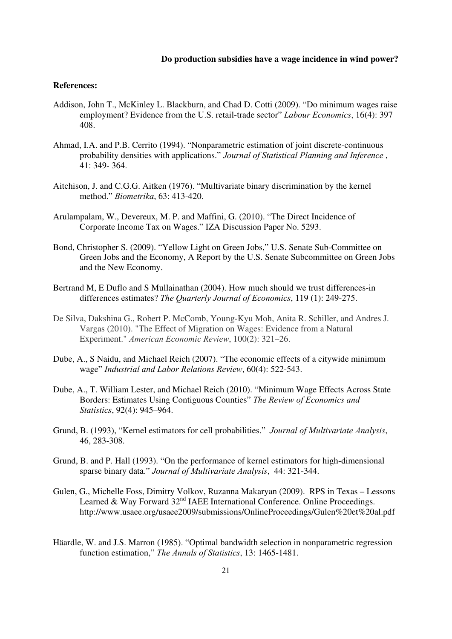#### **References:**

- Addison, John T., McKinley L. Blackburn, and Chad D. Cotti (2009). "Do minimum wages raise employment? Evidence from the U.S. retail-trade sector" *Labour Economics*, 16(4): 397 408.
- Ahmad, I.A. and P.B. Cerrito (1994). "Nonparametric estimation of joint discrete-continuous probability densities with applications." *Journal of Statistical Planning and Inference* , 41: 349- 364.
- Aitchison, J. and C.G.G. Aitken (1976). "Multivariate binary discrimination by the kernel method." *Biometrika*, 63: 413-420.
- Arulampalam, W., Devereux, M. P. and Maffini, G. (2010). "The Direct Incidence of Corporate Income Tax on Wages." IZA Discussion Paper No. 5293.
- Bond, Christopher S. (2009). "Yellow Light on Green Jobs," U.S. Senate Sub-Committee on Green Jobs and the Economy, A Report by the U.S. Senate Subcommittee on Green Jobs and the New Economy.
- Bertrand M, E Duflo and S Mullainathan (2004). How much should we trust differences-in differences estimates? *The Quarterly Journal of Economics*, 119 (1): 249-275.
- De Silva, Dakshina G., Robert P. McComb, Young-Kyu Moh, Anita R. Schiller, and Andres J. Vargas (2010). "The Effect of Migration on Wages: Evidence from a Natural Experiment." *American Economic Review*, 100(2): 321–26.
- Dube, A., S Naidu, and Michael Reich (2007). "The economic effects of a citywide minimum wage" *Industrial and Labor Relations Review*, 60(4): 522-543.
- Dube, A., T. William Lester, and Michael Reich (2010). "Minimum Wage Effects Across State Borders: Estimates Using Contiguous Counties" *The Review of Economics and Statistics*, 92(4): 945–964.
- Grund, B. (1993), "Kernel estimators for cell probabilities." *Journal of Multivariate Analysis*, 46, 283-308.
- Grund, B. and P. Hall (1993). "On the performance of kernel estimators for high-dimensional sparse binary data." *Journal of Multivariate Analysis*, 44: 321-344.
- Gulen, G., Michelle Foss, Dimitry Volkov, Ruzanna Makaryan (2009). RPS in Texas Lessons Learned & Way Forward  $32<sup>nd</sup>$  IAEE International Conference. Online Proceedings. http://www.usaee.org/usaee2009/submissions/OnlineProceedings/Gulen%20et%20al.pdf
- Häardle, W. and J.S. Marron (1985). "Optimal bandwidth selection in nonparametric regression function estimation," *The Annals of Statistics*, 13: 1465-1481.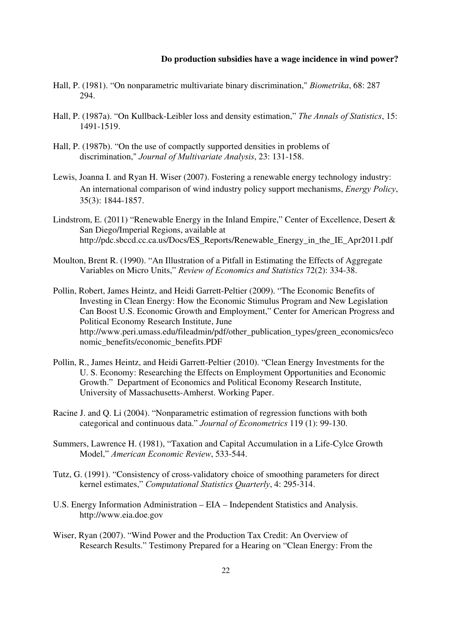- Hall, P. (1981). "On nonparametric multivariate binary discrimination," *Biometrika*, 68: 287 294.
- Hall, P. (1987a). "On Kullback-Leibler loss and density estimation," *The Annals of Statistics*, 15: 1491-1519.
- Hall, P. (1987b). "On the use of compactly supported densities in problems of discrimination," *Journal of Multivariate Analysis*, 23: 131-158.
- Lewis, Joanna I. and Ryan H. Wiser (2007). Fostering a renewable energy technology industry: An international comparison of wind industry policy support mechanisms, *Energy Policy*, 35(3): 1844-1857.
- Lindstrom, E. (2011) "Renewable Energy in the Inland Empire," Center of Excellence, Desert & San Diego/Imperial Regions, available at http://pdc.sbccd.cc.ca.us/Docs/ES\_Reports/Renewable\_Energy\_in\_the\_IE\_Apr2011.pdf
- Moulton, Brent R. (1990). "An Illustration of a Pitfall in Estimating the Effects of Aggregate Variables on Micro Units," *Review of Economics and Statistics* 72(2): 334-38.
- Pollin, Robert, James Heintz, and Heidi Garrett-Peltier (2009). "The Economic Benefits of Investing in Clean Energy: How the Economic Stimulus Program and New Legislation Can Boost U.S. Economic Growth and Employment," Center for American Progress and Political Economy Research Institute, June http://www.peri.umass.edu/fileadmin/pdf/other\_publication\_types/green\_economics/eco nomic\_benefits/economic\_benefits.PDF
- Pollin, R., James Heintz, and Heidi Garrett-Peltier (2010). "Clean Energy Investments for the U. S. Economy: Researching the Effects on Employment Opportunities and Economic Growth." Department of Economics and Political Economy Research Institute, University of Massachusetts-Amherst. Working Paper.
- Racine J. and Q. Li (2004). "Nonparametric estimation of regression functions with both categorical and continuous data." *Journal of Econometrics* 119 (1): 99-130.
- Summers, Lawrence H. (1981), "Taxation and Capital Accumulation in a Life-Cylce Growth Model," *American Economic Review*, 533-544.
- Tutz, G. (1991). "Consistency of cross-validatory choice of smoothing parameters for direct kernel estimates," *Computational Statistics Quarterly*, 4: 295-314.
- U.S. Energy Information Administration EIA Independent Statistics and Analysis. http://www.eia.doe.gov
- Wiser, Ryan (2007). "Wind Power and the Production Tax Credit: An Overview of Research Results." Testimony Prepared for a Hearing on "Clean Energy: From the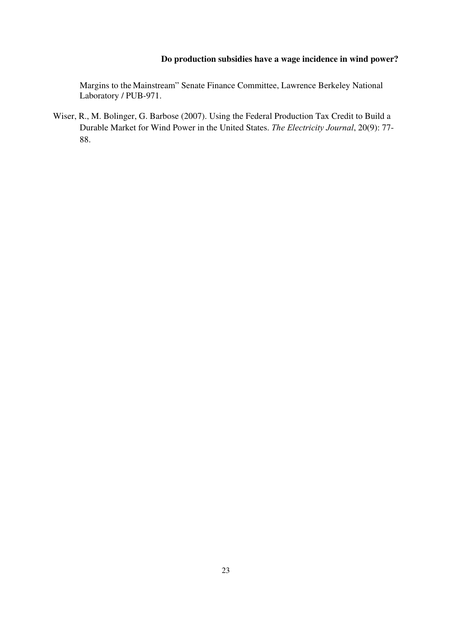Margins to the Mainstream" Senate Finance Committee, Lawrence Berkeley National Laboratory / PUB-971.

Wiser, R., M. Bolinger, G. Barbose (2007). Using the Federal Production Tax Credit to Build a Durable Market for Wind Power in the United States. *The Electricity Journal*, 20(9): 77- 88.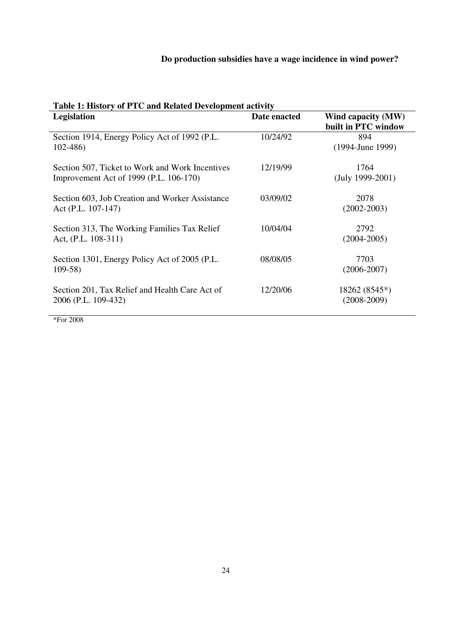| Table 1: History of FTC and Related Development activity<br><b>Legislation</b><br>Date enacted<br>Wind capacity (MW) |          |                                    |  |  |
|----------------------------------------------------------------------------------------------------------------------|----------|------------------------------------|--|--|
|                                                                                                                      |          | built in PTC window                |  |  |
| Section 1914, Energy Policy Act of 1992 (P.L.<br>$102 - 486$                                                         | 10/24/92 | 894<br>$(1994$ -June 1999)         |  |  |
| Section 507, Ticket to Work and Work Incentives<br>Improvement Act of 1999 (P.L. 106-170)                            | 12/19/99 | 1764<br>$(July 1999-2001)$         |  |  |
| Section 603, Job Creation and Worker Assistance<br>Act (P.L. 107-147)                                                | 03/09/02 | 2078<br>$(2002 - 2003)$            |  |  |
| Section 313, The Working Families Tax Relief<br>Act, $(P.L. 108-311)$                                                | 10/04/04 | 2792<br>$(2004 - 2005)$            |  |  |
| Section 1301, Energy Policy Act of 2005 (P.L.<br>$109-58$                                                            | 08/08/05 | 7703<br>$(2006 - 2007)$            |  |  |
| Section 201, Tax Relief and Health Care Act of<br>2006 (P.L. 109-432)                                                | 12/20/06 | $18262 (8545*)$<br>$(2008 - 2009)$ |  |  |

**Table 1: History of PTC and Related Development activity** 

\*For 2008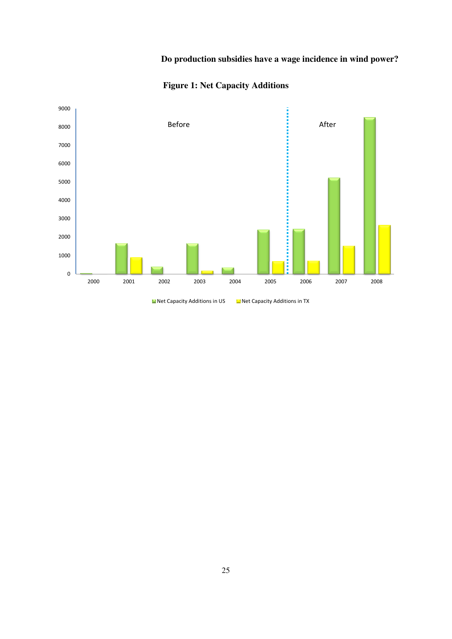

**Figure 1: Net Capacity Additions** 

**Net Capacity Additions in US Net Capacity Additions in TX**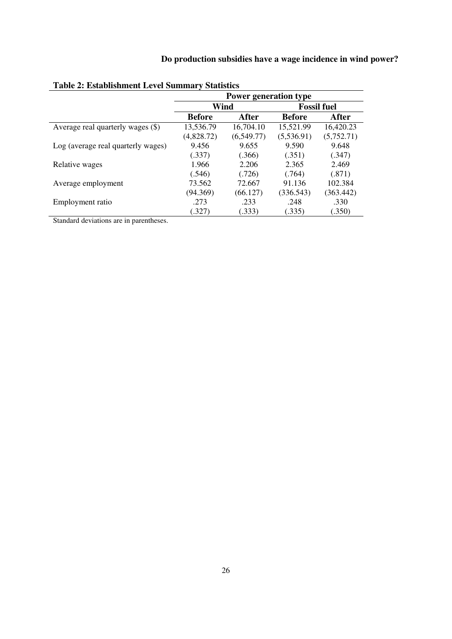|                                    | Power generation type |            |                    |            |  |
|------------------------------------|-----------------------|------------|--------------------|------------|--|
|                                    | Wind                  |            | <b>Fossil fuel</b> |            |  |
|                                    | <b>Before</b>         | After      | <b>Before</b>      | After      |  |
| Average real quarterly wages (\$)  | 13,536.79             | 16,704.10  | 15,521.99          | 16,420.23  |  |
|                                    | (4,828.72)            | (6,549.77) | (5,536.91)         | (5,752.71) |  |
| Log (average real quarterly wages) | 9.456                 | 9.655      | 9.590              | 9.648      |  |
|                                    | (.337)                | (.366)     | (.351)             | (.347)     |  |
| Relative wages                     | 1.966                 | 2.206      | 2.365              | 2.469      |  |
|                                    | (.546)                | (.726)     | (.764)             | (.871)     |  |
| Average employment                 | 73.562                | 72.667     | 91.136             | 102.384    |  |
|                                    | (94.369)              | (66.127)   | (336.543)          | (363.442)  |  |
| Employment ratio                   | .273                  | .233       | .248               | .330       |  |
|                                    | (.327)                | (.333)     | (.335)             | (.350)     |  |

# **Table 2: Establishment Level Summary Statistics**

Standard deviations are in parentheses.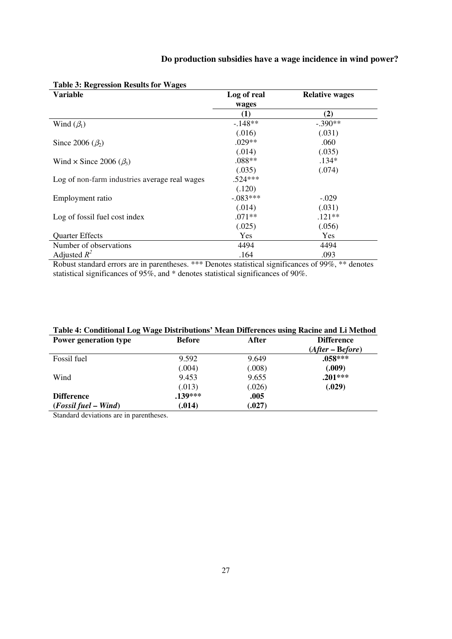| <b>Variable</b>                               | Log of real | <b>Relative wages</b> |  |
|-----------------------------------------------|-------------|-----------------------|--|
|                                               | wages       |                       |  |
|                                               | (1)         | (2)                   |  |
| Wind $(\beta_1)$                              | $-148**$    | $-.390**$             |  |
|                                               | (.016)      | (.031)                |  |
| Since 2006 $(\beta_2)$                        | $.029**$    | .060                  |  |
|                                               | (.014)      | (.035)                |  |
| Wind $\times$ Since 2006 ( $\beta_3$ )        | $.088**$    | $.134*$               |  |
|                                               | (.035)      | (.074)                |  |
| Log of non-farm industries average real wages | $.524***$   |                       |  |
|                                               | (.120)      |                       |  |
| Employment ratio                              | $-.083***$  | $-.029$               |  |
|                                               | (.014)      | (.031)                |  |
| Log of fossil fuel cost index                 | $.071**$    | $.121**$              |  |
|                                               | (.025)      | (.056)                |  |
| <b>Quarter Effects</b>                        | Yes         | Yes                   |  |
| Number of observations                        | 4494        | 4494                  |  |
| Adjusted $R^2$                                | .164        | .093                  |  |

**Table 3: Regression Results for Wages** 

Robust standard errors are in parentheses. \*\*\* Denotes statistical significances of 99%, \*\* denotes statistical significances of 95%, and \* denotes statistical significances of 90%.

| Table 4: Conditional Log wage Distributions' Mean Differences using Kacine and Li Method |               |        |                   |  |
|------------------------------------------------------------------------------------------|---------------|--------|-------------------|--|
| <b>Power generation type</b>                                                             | <b>Before</b> | After  | <b>Difference</b> |  |
|                                                                                          |               |        | $(After-Before)$  |  |
| Fossil fuel                                                                              | 9.592         | 9.649  | $.058***$         |  |
|                                                                                          | (.004)        | (.008) | (.009)            |  |
| Wind                                                                                     | 9.453         | 9.655  | $.201***$         |  |
|                                                                                          | (.013)        | (.026) | (.029)            |  |
| <b>Difference</b>                                                                        | $.139***$     | .005   |                   |  |
| $(Fossil fuel - Wind)$                                                                   | (.014)        | (.027) |                   |  |

#### **Table 4: Conditional Log Wage Distributions' Mean Differences using Racine and Li Method**

Standard deviations are in parentheses.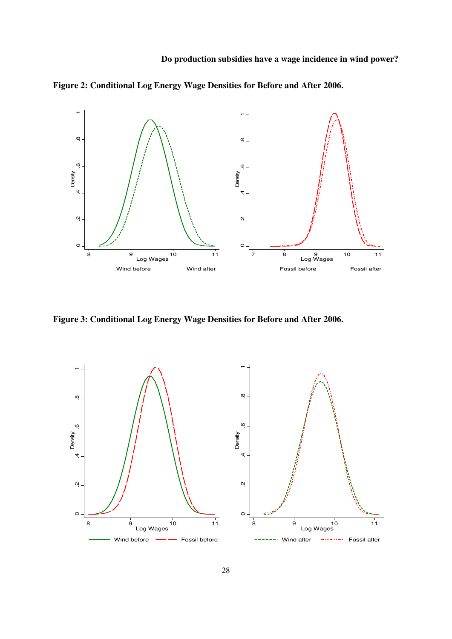

**Figure 2: Conditional Log Energy Wage Densities for Before and After 2006.** 

**Figure 3: Conditional Log Energy Wage Densities for Before and After 2006.** 

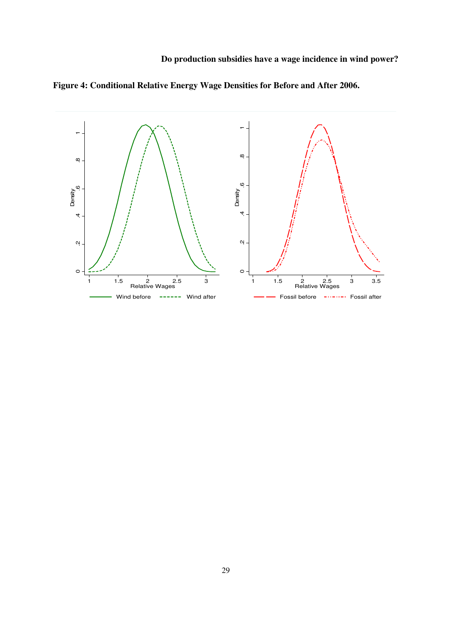

**Figure 4: Conditional Relative Energy Wage Densities for Before and After 2006.**